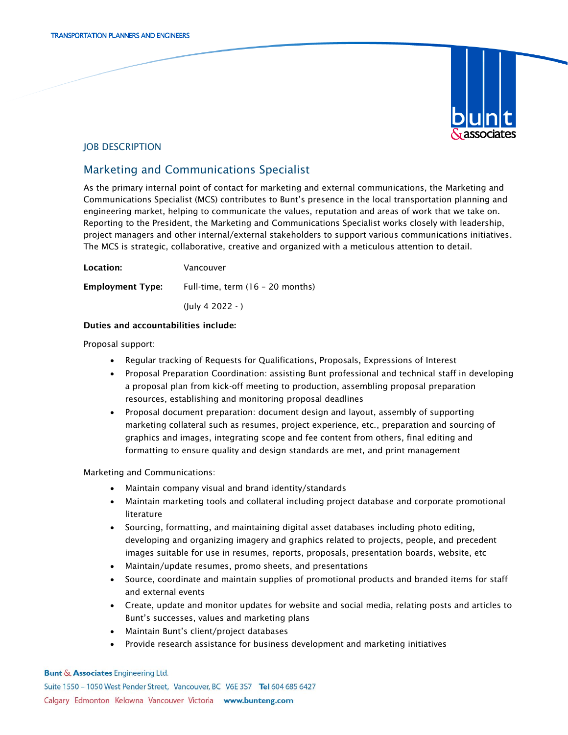

## JOB DESCRIPTION

# Marketing and Communications Specialist

As the primary internal point of contact for marketing and external communications, the Marketing and Communications Specialist (MCS) contributes to Bunt's presence in the local transportation planning and engineering market, helping to communicate the values, reputation and areas of work that we take on. Reporting to the President, the Marketing and Communications Specialist works closely with leadership, project managers and other internal/external stakeholders to support various communications initiatives. The MCS is strategic, collaborative, creative and organized with a meticulous attention to detail.

Location: Vancouver Employment Type: Full-time, term (16 – 20 months) (July 4 2022 - )

#### Duties and accountabilities include:

Proposal support:

- Regular tracking of Requests for Qualifications, Proposals, Expressions of Interest
- Proposal Preparation Coordination: assisting Bunt professional and technical staff in developing a proposal plan from kick-off meeting to production, assembling proposal preparation resources, establishing and monitoring proposal deadlines
- Proposal document preparation: document design and layout, assembly of supporting marketing collateral such as resumes, project experience, etc., preparation and sourcing of graphics and images, integrating scope and fee content from others, final editing and formatting to ensure quality and design standards are met, and print management

Marketing and Communications:

- Maintain company visual and brand identity/standards
- Maintain marketing tools and collateral including project database and corporate promotional literature
- Sourcing, formatting, and maintaining digital asset databases including photo editing, developing and organizing imagery and graphics related to projects, people, and precedent images suitable for use in resumes, reports, proposals, presentation boards, website, etc
- Maintain/update resumes, promo sheets, and presentations
- Source, coordinate and maintain supplies of promotional products and branded items for staff and external events
- Create, update and monitor updates for website and social media, relating posts and articles to Bunt's successes, values and marketing plans
- Maintain Bunt's client/project databases
- Provide research assistance for business development and marketing initiatives

**Bunt & Associates Engineering Ltd.** Suite 1550 - 1050 West Pender Street, Vancouver, BC V6E 3S7 Tel 604 685 6427 Calgary Edmonton Kelowna Vancouver Victoria www.bunteng.com